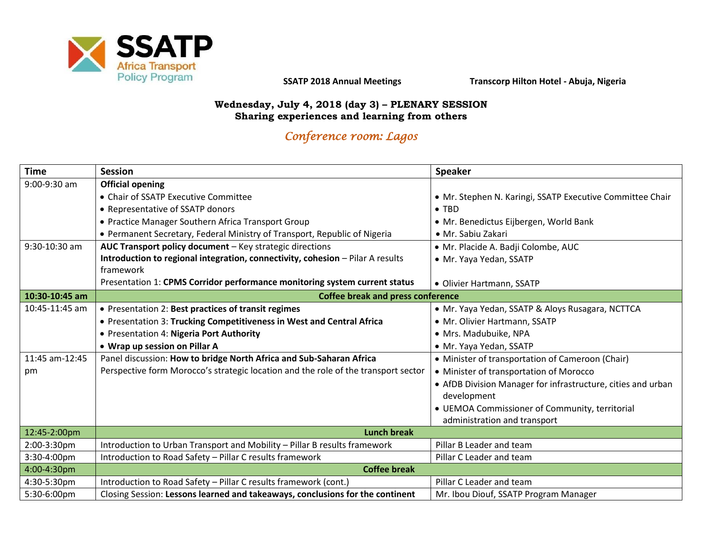

**SSATP 2018 Annual Meetings Transcorp Hilton Hotel - Abuja, Nigeria**

#### **Wednesday, July 4, 2018 (day 3) – PLENARY SESSION Sharing experiences and learning from others**

# *Conference room: Lagos*

| <b>Time</b>     | <b>Session</b>                                                                     | <b>Speaker</b>                                               |  |
|-----------------|------------------------------------------------------------------------------------|--------------------------------------------------------------|--|
| 9:00-9:30 am    | <b>Official opening</b>                                                            |                                                              |  |
|                 | • Chair of SSATP Executive Committee                                               | • Mr. Stephen N. Karingi, SSATP Executive Committee Chair    |  |
|                 | • Representative of SSATP donors                                                   | $\bullet$ TBD                                                |  |
|                 | • Practice Manager Southern Africa Transport Group                                 | • Mr. Benedictus Eijbergen, World Bank                       |  |
|                 | • Permanent Secretary, Federal Ministry of Transport, Republic of Nigeria          | · Mr. Sabiu Zakari                                           |  |
| $9:30-10:30$ am | AUC Transport policy document - Key strategic directions                           | · Mr. Placide A. Badji Colombe, AUC                          |  |
|                 | Introduction to regional integration, connectivity, cohesion - Pilar A results     | • Mr. Yaya Yedan, SSATP                                      |  |
|                 | framework                                                                          |                                                              |  |
|                 | Presentation 1: CPMS Corridor performance monitoring system current status         | • Olivier Hartmann, SSATP                                    |  |
| 10:30-10:45 am  | <b>Coffee break and press conference</b>                                           |                                                              |  |
| 10:45-11:45 am  | • Presentation 2: Best practices of transit regimes                                | • Mr. Yaya Yedan, SSATP & Aloys Rusagara, NCTTCA             |  |
|                 | • Presentation 3: Trucking Competitiveness in West and Central Africa              | • Mr. Olivier Hartmann, SSATP                                |  |
|                 | • Presentation 4: Nigeria Port Authority                                           | · Mrs. Madubuike, NPA                                        |  |
|                 | • Wrap up session on Pillar A                                                      | • Mr. Yaya Yedan, SSATP                                      |  |
| 11:45 am-12:45  | Panel discussion: How to bridge North Africa and Sub-Saharan Africa                | • Minister of transportation of Cameroon (Chair)             |  |
| pm              | Perspective form Morocco's strategic location and the role of the transport sector | • Minister of transportation of Morocco                      |  |
|                 |                                                                                    | • AfDB Division Manager for infrastructure, cities and urban |  |
|                 |                                                                                    | development                                                  |  |
|                 |                                                                                    | • UEMOA Commissioner of Community, territorial               |  |
|                 |                                                                                    | administration and transport                                 |  |
| 12:45-2:00pm    | <b>Lunch break</b>                                                                 |                                                              |  |
| 2:00-3:30pm     | Introduction to Urban Transport and Mobility - Pillar B results framework          | Pillar B Leader and team                                     |  |
| 3:30-4:00pm     | Introduction to Road Safety - Pillar C results framework                           | Pillar C Leader and team                                     |  |
| 4:00-4:30pm     | <b>Coffee break</b>                                                                |                                                              |  |
| 4:30-5:30pm     | Introduction to Road Safety - Pillar C results framework (cont.)                   | Pillar C Leader and team                                     |  |
| 5:30-6:00pm     | Closing Session: Lessons learned and takeaways, conclusions for the continent      | Mr. Ibou Diouf, SSATP Program Manager                        |  |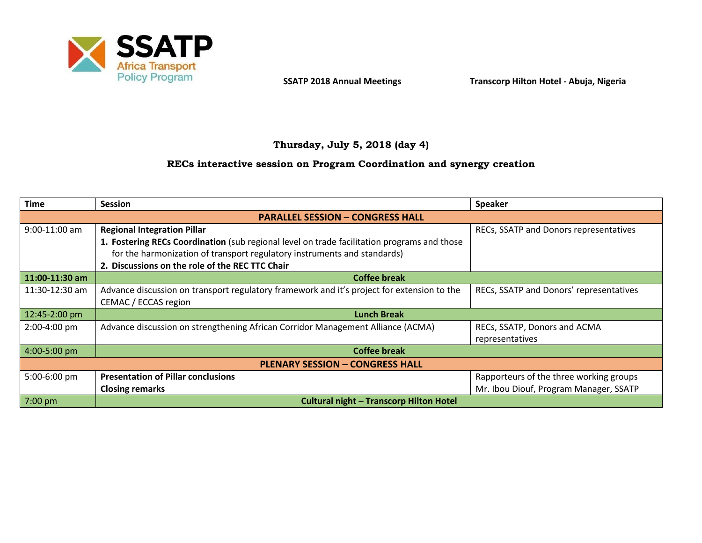

## **Thursday, July 5, 2018 (day 4)**

#### **RECs interactive session on Program Coordination and synergy creation**

| <b>Time</b>                             | <b>Session</b>                                                                                                                                                                                                                                                   | <b>Speaker</b>                                  |  |  |
|-----------------------------------------|------------------------------------------------------------------------------------------------------------------------------------------------------------------------------------------------------------------------------------------------------------------|-------------------------------------------------|--|--|
| <b>PARALLEL SESSION - CONGRESS HALL</b> |                                                                                                                                                                                                                                                                  |                                                 |  |  |
| $9:00-11:00$ am                         | <b>Regional Integration Pillar</b><br>1. Fostering RECs Coordination (sub regional level on trade facilitation programs and those<br>for the harmonization of transport regulatory instruments and standards)<br>2. Discussions on the role of the REC TTC Chair | RECs, SSATP and Donors representatives          |  |  |
| 11:00-11:30 am                          | <b>Coffee break</b>                                                                                                                                                                                                                                              |                                                 |  |  |
| 11:30-12:30 am                          | Advance discussion on transport regulatory framework and it's project for extension to the<br>CEMAC / ECCAS region                                                                                                                                               | RECs, SSATP and Donors' representatives         |  |  |
| $12:45 - 2:00$ pm                       | <b>Lunch Break</b>                                                                                                                                                                                                                                               |                                                 |  |  |
| $2:00-4:00$ pm                          | Advance discussion on strengthening African Corridor Management Alliance (ACMA)                                                                                                                                                                                  | RECs, SSATP, Donors and ACMA<br>representatives |  |  |
| 4:00-5:00 pm                            | <b>Coffee break</b>                                                                                                                                                                                                                                              |                                                 |  |  |
| <b>PLENARY SESSION - CONGRESS HALL</b>  |                                                                                                                                                                                                                                                                  |                                                 |  |  |
| 5:00-6:00 pm                            | <b>Presentation of Pillar conclusions</b>                                                                                                                                                                                                                        | Rapporteurs of the three working groups         |  |  |
|                                         | <b>Closing remarks</b>                                                                                                                                                                                                                                           | Mr. Ibou Diouf, Program Manager, SSATP          |  |  |
| 7:00 pm                                 | <b>Cultural night - Transcorp Hilton Hotel</b>                                                                                                                                                                                                                   |                                                 |  |  |